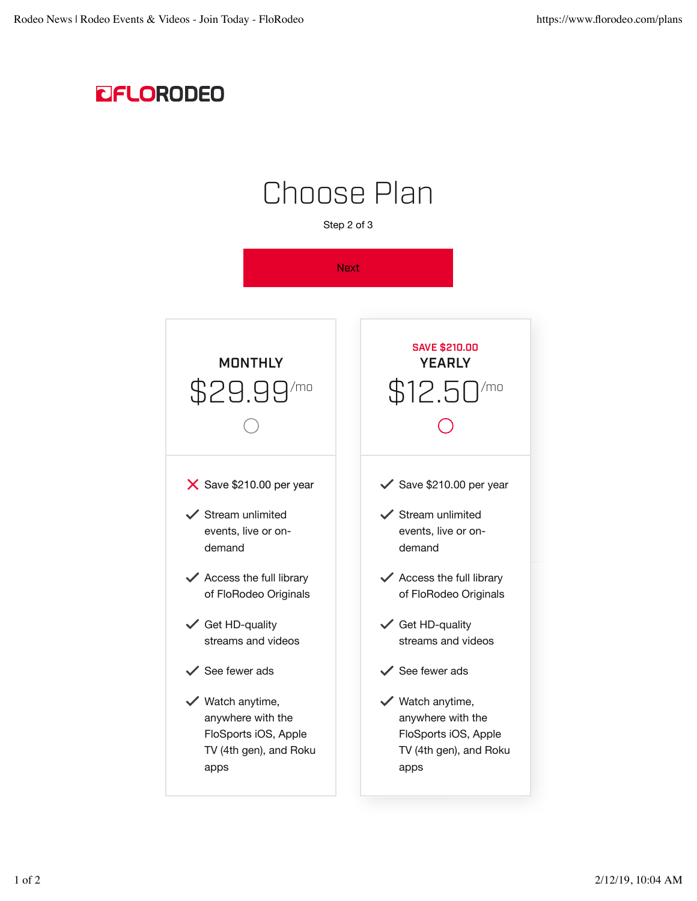

## Choose Plan

Step 2 of 3

**Next** 

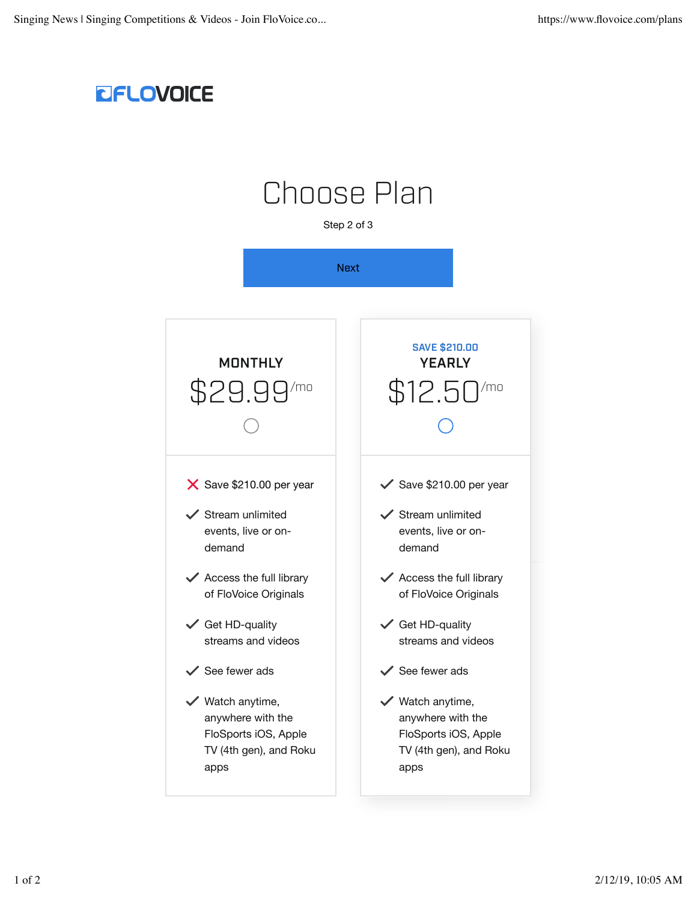

## Choose Plan

Step 2 of 3

**Next** 

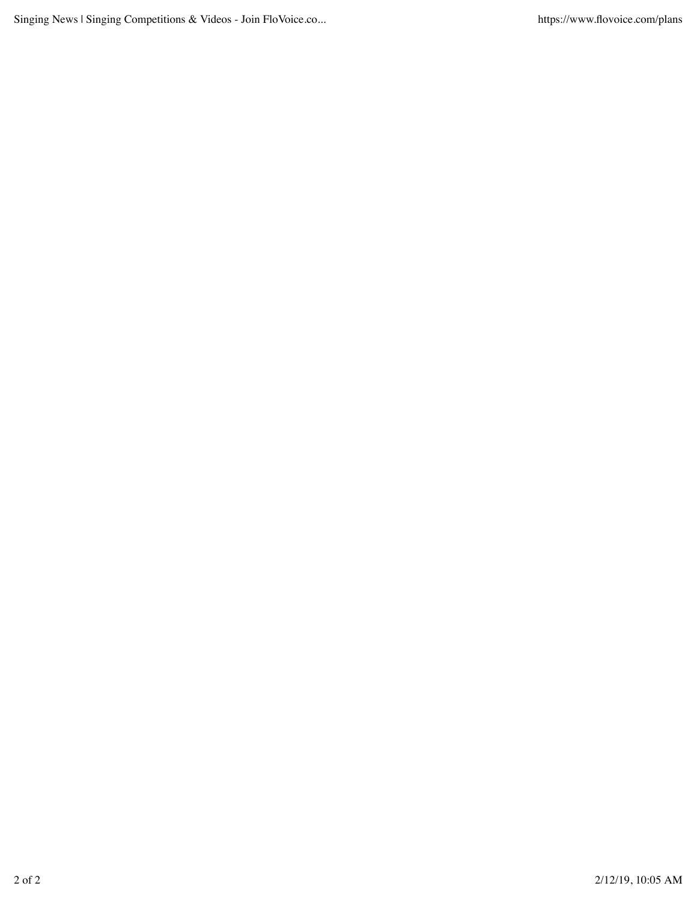Singing News | Singing Competitions & Videos - Join FloVoice.co... https://www.flovoice.com/plans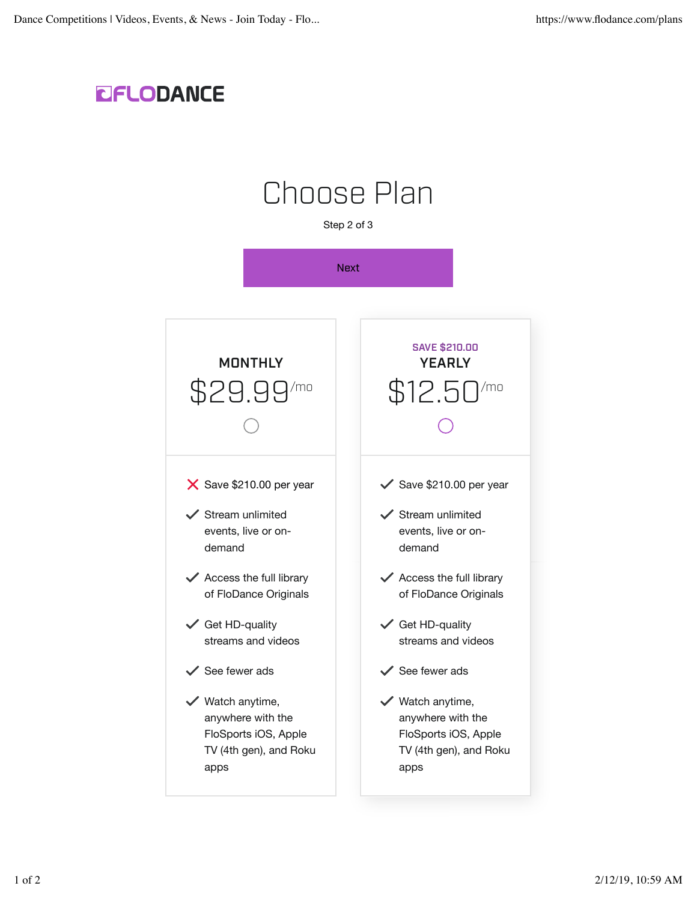## **DFLODANCE**

## Choose Plan

Step 2 of 3

Next